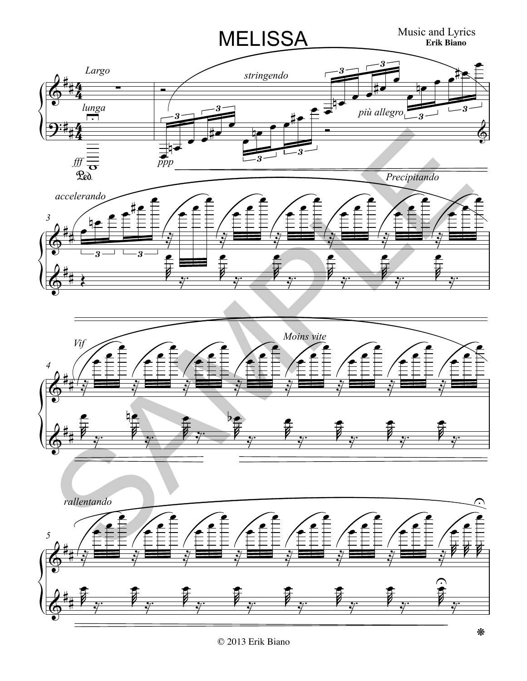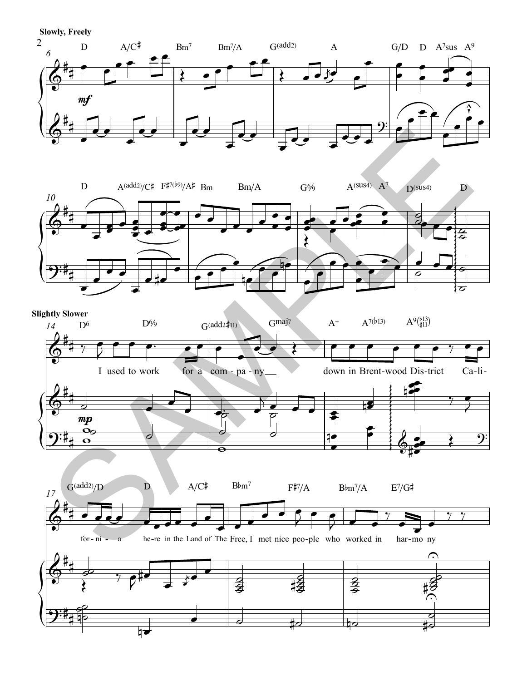